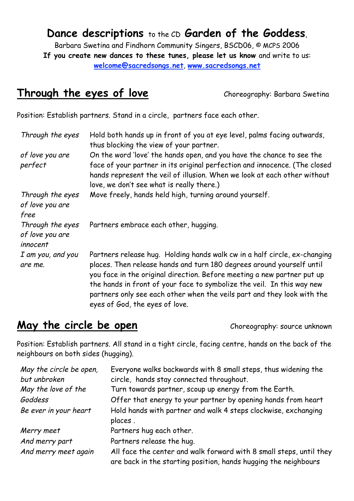# **Dance descriptions** to the CD **Garden of the Goddess**,

Barbara Swetina and Findhorn Community Singers, BSCD06, © MCPS 2006 **If you create new dances to these tunes, please let us know** and write to us: **welcome@sacredsongs.net**, **www.sacredsongs.net**

## **Through the eyes of love** Choreography: Barbara Swetina

Position: Establish partners. Stand in a circle, partners face each other.

| Through the eyes                                | Hold both hands up in front of you at eye level, palms facing outwards,<br>thus blocking the view of your partner.                                                                                                                                                                                                                                                                                                   |
|-------------------------------------------------|----------------------------------------------------------------------------------------------------------------------------------------------------------------------------------------------------------------------------------------------------------------------------------------------------------------------------------------------------------------------------------------------------------------------|
| of love you are<br>perfect                      | On the word 'love' the hands open, and you have the chance to see the<br>face of your partner in its original perfection and innocence. (The closed                                                                                                                                                                                                                                                                  |
|                                                 | hands represent the veil of illusion. When we look at each other without<br>love, we don't see what is really there.)                                                                                                                                                                                                                                                                                                |
| Through the eyes<br>of love you are<br>free     | Move freely, hands held high, turning around yourself.                                                                                                                                                                                                                                                                                                                                                               |
| Through the eyes<br>of love you are<br>innocent | Partners embrace each other, hugging.                                                                                                                                                                                                                                                                                                                                                                                |
| I am you, and you<br>are me.                    | Partners release hug. Holding hands walk cw in a half circle, ex-changing<br>places. Then release hands and turn 180 degrees around yourself until<br>you face in the original direction. Before meeting a new partner put up<br>the hands in front of your face to symbolize the veil. In this way new<br>partners only see each other when the veils part and they look with the<br>eyes of God, the eyes of love. |

# **May the circle be open** Choreography: source unknown

Position: Establish partners. All stand in a tight circle, facing centre, hands on the back of the neighbours on both sides (hugging).

| May the circle be open, | Everyone walks backwards with 8 small steps, thus widening the                                                                         |
|-------------------------|----------------------------------------------------------------------------------------------------------------------------------------|
| but unbroken            | circle, hands stay connected throughout.                                                                                               |
| May the love of the     | Turn towards partner, scoup up energy from the Earth.                                                                                  |
| Goddess                 | Offer that energy to your partner by opening hands from heart                                                                          |
| Be ever in your heart   | Hold hands with partner and walk 4 steps clockwise, exchanging<br>places.                                                              |
| Merry meet              | Partners hug each other.                                                                                                               |
| And merry part          | Partners release the hug.                                                                                                              |
| And merry meet again    | All face the center and walk forward with 8 small steps, until they<br>are back in the starting position, hands hugging the neighbours |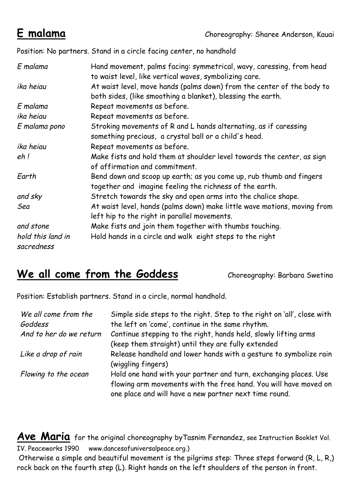Position: No partners. Stand in a circle facing center, no handhold

| E malama                        | Hand movement, palms facing: symmetrical, wavy, caressing, from head<br>to waist level, like vertical waves, symbolizing care.        |
|---------------------------------|---------------------------------------------------------------------------------------------------------------------------------------|
| ika heiau                       | At waist level, move hands (palms down) from the center of the body to<br>both sides, (like smoothing a blanket), blessing the earth. |
| E malama                        | Repeat movements as before.                                                                                                           |
| ika heiau                       | Repeat movements as before.                                                                                                           |
| E malama pono                   | Stroking movements of R and L hands alternating, as if caressing<br>something precious, a crystal ball or a child's head.             |
| ika heiau                       | Repeat movements as before.                                                                                                           |
| eh!                             | Make fists and hold them at shoulder level towards the center, as sign<br>of affirmation and commitment.                              |
| Earth                           | Bend down and scoop up earth; as you come up, rub thumb and fingers<br>together and imagine feeling the richness of the earth.        |
| and sky                         | Stretch towards the sky and open arms into the chalice shape.                                                                         |
| Sea                             | At waist level, hands (palms down) make little wave motions, moving from<br>left hip to the right in parallel movements.              |
| and stone                       | Make fists and join them together with thumbs touching.                                                                               |
| hold this land in<br>sacredness | Hold hands in a circle and walk eight steps to the right                                                                              |

# We all come from the Goddess **Choreography: Barbara Swetina**

Position: Establish partners. Stand in a circle, normal handhold.

| We all come from the<br>Goddess | Simple side steps to the right. Step to the right on 'all', close with<br>the left on 'come', continue in the same rhythm. |
|---------------------------------|----------------------------------------------------------------------------------------------------------------------------|
| And to her do we return         | Continue stepping to the right, hands held, slowly lifting arms                                                            |
|                                 | (keep them straight) until they are fully extended                                                                         |
| Like a drop of rain             | Release handhold and lower hands with a gesture to symbolize rain<br>(wiggling fingers)                                    |
| Flowing to the ocean            | Hold one hand with your partner and turn, exchanging places. Use                                                           |
|                                 | flowing arm movements with the free hand. You will have moved on<br>one place and will have a new partner next time round. |

Ave Maria for the original choreography byTasnim Fernandez, see Instruction Booklet Vol. IV. Peaceworks 1990 www.dancesofuniversalpeace.org.)

Otherwise a simple and beautiful movement is the pilgrims step: Three steps forward (R, L, R,) rock back on the fourth step (L). Right hands on the left shoulders of the person in front.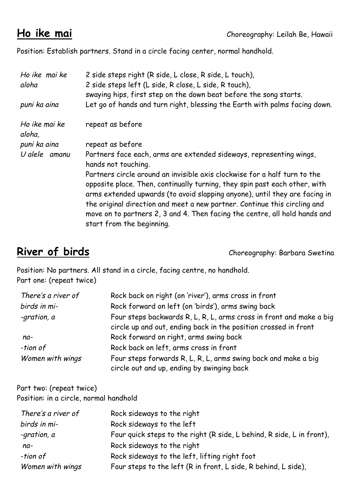Position: Establish partners. Stand in a circle facing center, normal handhold.

| Ho ike mai ke<br>aloha  | 2 side steps right (R side, L close, R side, L touch),<br>2 side steps left (L side, R close, L side, R touch),<br>swaying hips, first step on the down beat before the song starts.                                                                                                                                                                                                                                          |
|-------------------------|-------------------------------------------------------------------------------------------------------------------------------------------------------------------------------------------------------------------------------------------------------------------------------------------------------------------------------------------------------------------------------------------------------------------------------|
| puni ka aina            | Let go of hands and turn right, blessing the Earth with palms facing down.                                                                                                                                                                                                                                                                                                                                                    |
| Ho ike mai ke<br>aloha, | repeat as before                                                                                                                                                                                                                                                                                                                                                                                                              |
| puni ka aina            | repeat as before                                                                                                                                                                                                                                                                                                                                                                                                              |
| U alele amanu           | Partners face each, arms are extended sideways, representing wings,<br>hands not touching.                                                                                                                                                                                                                                                                                                                                    |
|                         | Partners circle around an invisible axis clockwise for a half turn to the<br>opposite place. Then, continually turning, they spin past each other, with<br>arms extended upwards (to avoid slapping anyone), until they are facing in<br>the original direction and meet a new partner. Continue this circling and<br>move on to partners 2, 3 and 4. Then facing the centre, all hold hands and<br>start from the beginning. |

**River of birds Choreography: Barbara Swetina** 

Position: No partners. All stand in a circle, facing centre, no handhold. Part one: (repeat twice)

| There's a river of | Rock back on right (on 'river'), arms cross in front                                                                                   |
|--------------------|----------------------------------------------------------------------------------------------------------------------------------------|
| birds in mi-       | Rock forward on left (on 'birds'), arms swing back                                                                                     |
| -gration, a        | Four steps backwards R, L, R, L, arms cross in front and make a big<br>circle up and out, ending back in the position crossed in front |
| $na-$              | Rock forward on right, arms swing back                                                                                                 |
| -tion of           | Rock back on left, arms cross in front                                                                                                 |
| Women with wings   | Four steps forwards R, L, R, L, arms swing back and make a big<br>circle out and up, ending by swinging back                           |

Part two: (repeat twice) Position: in a circle, normal handhold

| There's a river of | Rock sideways to the right                                            |
|--------------------|-----------------------------------------------------------------------|
| birds in mi-       | Rock sideways to the left                                             |
| -gration, a        | Four quick steps to the right (R side, L behind, R side, L in front), |
| na-                | Rock sideways to the right                                            |
| -tion of           | Rock sideways to the left, lifting right foot                         |
| Women with wings   | Four steps to the left (R in front, L side, R behind, L side),        |